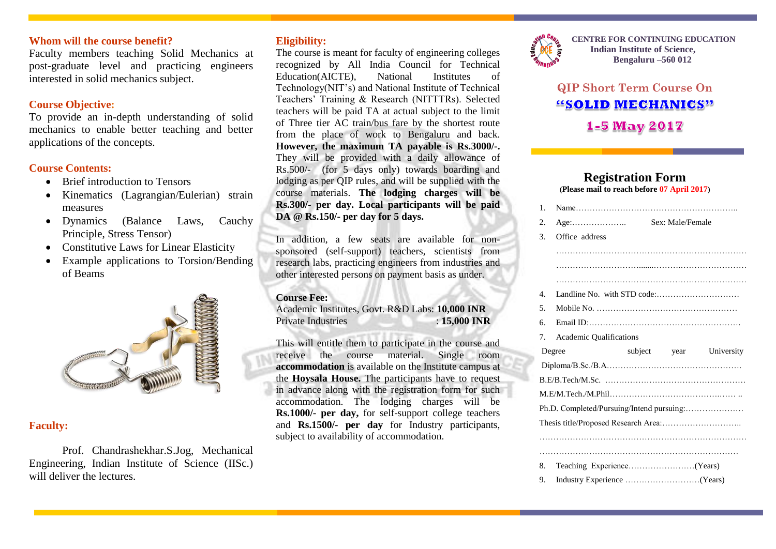### **Whom will the course benefit?**

Faculty members teaching Solid Mechanics at post-graduate level and practicing engineers interested in solid mechanics subject.

## **Course Objective:**

To provide an in-depth understanding of solid mechanics to enable better teaching and better applications of the concepts.

## **Course Contents:**

- Brief introduction to Tensors
- Kinematics (Lagrangian/Eulerian) strain measures
- Dynamics (Balance Laws, Cauchy Principle, Stress Tensor)
- Constitutive Laws for Linear Elasticity
- Example applications to Torsion/Bending of Beams



# **Faculty:**

Prof. Chandrashekhar.S.Jog, Mechanical Engineering, Indian Institute of Science (IISc.) will deliver the lectures.

## **Eligibility:**

The course is meant for faculty of engineering colleges recognized by All India Council for Technical Education(AICTE), National Institutes of Technology(NIT's) and National Institute of Technical Teachers' Training & Research (NITTTRs). Selected teachers will be paid TA at actual subject to the limit of Three tier AC train/bus fare by the shortest route from the place of work to Bengaluru and back. **However, the maximum TA payable is Rs.3000/-.** They will be provided with a daily allowance of Rs.500/- (for 5 days only) towards boarding and lodging as per QIP rules, and will be supplied with the course materials. **The lodging charges will be Rs.300/- per day. Local participants will be paid DA @ Rs.150/- per day for 5 days.**

In addition, a few seats are available for nonsponsored (self-support) teachers, scientists from research labs, practicing engineers from industries and other interested persons on payment basis as under.

#### **Course Fee:**

Academic Institutes, Govt. R&D Labs: **10,000 INR** Private Industries : **15,000 INR** 

This will entitle them to participate in the course and receive the course material. Single room **accommodation** is available on the Institute campus at the **Hoysala House.** The participants have to request in advance along with the registration form for such accommodation. The lodging charges will be **Rs.1000/- per day,** for self-support college teachers and **Rs.1500/- per day** for Industry participants, subject to availability of accommodation.



**CENTRE FOR CONTINUING EDUCATION Indian Institute of Science, Bengaluru –560 012**

# **QIP Short Term Course On** "SOLID MECHANICS" **1-5 May 2017**

#### **Registration Form (Please mail to reach before 07 April 2017)**

| 1.          |                                           |                  |            |
|-------------|-------------------------------------------|------------------|------------|
| 2.          | $Age: \ldots \ldots \ldots \ldots \ldots$ | Sex: Male/Female |            |
| 3.          | Office address                            |                  |            |
|             |                                           |                  |            |
|             |                                           |                  |            |
|             |                                           |                  |            |
| $4_{\cdot}$ |                                           |                  |            |
| .5          |                                           |                  |            |
| б.          |                                           |                  |            |
| 7.          | <b>Academic Qualifications</b>            |                  |            |
|             |                                           |                  |            |
|             | Degree                                    | subject year     | University |
|             |                                           |                  |            |
|             |                                           |                  |            |
|             |                                           |                  |            |
|             | Ph.D. Completed/Pursuing/Intend pursuing: |                  |            |
|             |                                           |                  |            |
|             |                                           |                  |            |
|             |                                           |                  |            |
| 8.          |                                           |                  |            |